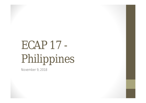## ECAP 17 - Philippines

November 9, 2018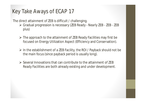## **Key Take Aways of ECAP 17**

The direct attainment of ZEB is difficult / challenging.

- Gradual progression is necessary (ZEB Ready Nearly ZEB ZEB *ZEB plus*)
- $\triangleright$  The approach to the attainment of ZEB Ready Facilities may first be focused on Energy Utilization Aspect (Efficiency and Conservation).
- $\triangleright$  In the establishment of a ZEB Facility, the ROI / Payback should not be the main focus (since payback period is usually long).
- $\triangleright$  Several Innovations that can contribute to the attainment of ZEB Ready Facilities are both already existing and under development.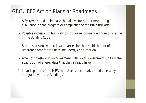## **GBC / BEC Action Plans or Roadmaps**

- A System should be in place that allows for proper monitoring / evaluation on the progress or compliance of the Building Code
- $\triangleright$  Possible inclusion of humidity control or recommended humidity range in the Building Code
- $\triangleright$  Start discussions with relevant parties for the establishment of a Reference Year for the Baseline Energy Consumption
- Attempt to establish an agreement with Local Government Units in the acquisition of energy data that they already have
- $\triangleright$  In anticipation of the MEP, the future benchmark should be readily integrated with the Building Code